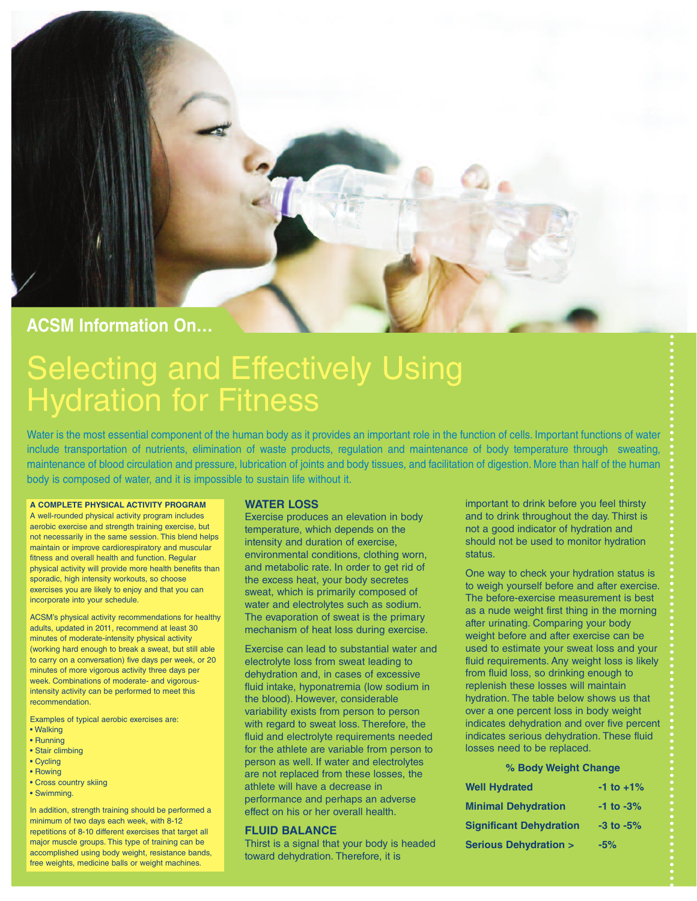

# Selecting and Effectively Using Hydration for Fitness

Water is the most essential component of the human body as it provides an important role in the function of cells. Important functions of water include transportation of nutrients, elimination of waste products, regulation and maintenance of body temperature through sweating, maintenance of blood circulation and pressure, lubrication of joints and body tissues, and facilitation of digestion. More than half of the human body is composed of water, and it is impossible to sustain life without it.

#### **A COMPLETE PHYSICAL ACTIVITY PROGRAM**

A well-rounded physical activity program includes aerobic exercise and strength training exercise, but not necessarily in the same session. This blend helps maintain or improve cardiorespiratory and muscular fitness and overall health and function. Regular physical activity will provide more health benefits than sporadic, high intensity workouts, so choose exercises you are likely to enjoy and that you can incorporate into your schedule.

ACSM's physical activity recommendations for healthy adults, updated in 2011, recommend at least 30 minutes of moderate-intensity physical activity (working hard enough to break a sweat, but still able to carry on a conversation) five days per week, or 20 minutes of more vigorous activity three days per week. Combinations of moderate- and vigorousintensity activity can be performed to meet this recommendation.

Examples of typical aerobic exercises are:

- Walking
- Running
- Stair climbing
- Cycling
- Rowing
- Cross country skiing
- Swimming.

In addition, strength training should be performed a minimum of two days each week, with 8-12 repetitions of 8-10 different exercises that target all major muscle groups. This type of training can be accomplished using body weight, resistance bands, free weights, medicine balls or weight machines.

#### **WATER LOSS**

Exercise produces an elevation in body temperature, which depends on the intensity and duration of exercise, environmental conditions, clothing worn, and metabolic rate. In order to get rid of the excess heat, your body secretes sweat, which is primarily composed of water and electrolytes such as sodium. The evaporation of sweat is the primary mechanism of heat loss during exercise.

Exercise can lead to substantial water and electrolyte loss from sweat leading to dehydration and, in cases of excessive fluid intake, hyponatremia (low sodium in the blood). However, considerable variability exists from person to person with regard to sweat loss. Therefore, the fluid and electrolyte requirements needed for the athlete are variable from person to person as well. If water and electrolytes are not replaced from these losses, the athlete will have a decrease in performance and perhaps an adverse effect on his or her overall health.

### **FLUID BALANCE**

Thirst is a signal that your body is headed toward dehydration. Therefore, it is

important to drink before you feel thirsty and to drink throughout the day. Thirst is not a good indicator of hydration and should not be used to monitor hydration status.

One way to check your hydration status is to weigh yourself before and after exercise. The before-exercise measurement is best as a nude weight first thing in the morning after urinating. Comparing your body weight before and after exercise can be used to estimate your sweat loss and your fluid requirements. Any weight loss is likely from fluid loss, so drinking enough to replenish these losses will maintain hydration. The table below shows us that over a one percent loss in body weight indicates dehydration and over five percent indicates serious dehydration. These fluid losses need to be replaced.

#### **% Body Weight Change**

| <b>Well Hydrated</b>            | $-1$ to $+1\%$ |
|---------------------------------|----------------|
| <b>Minimal Dehydration</b>      | $-1$ to $-3\%$ |
| <b>Significant Dehydration</b>  | $-3$ to $-5\%$ |
| <b>Serious Dehydration &gt;</b> | $-5%$          |